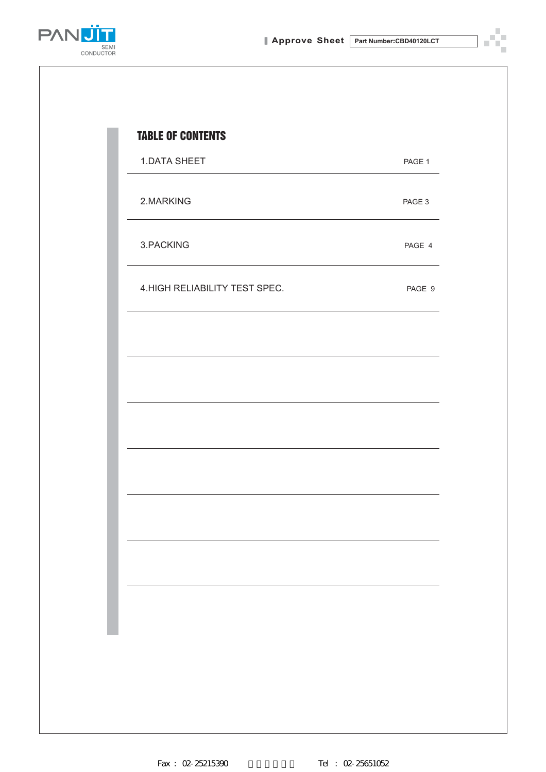Ÿ. n)



| 1.DATA SHEET                   | PAGE 1 |
|--------------------------------|--------|
| 2.MARKING                      | PAGE 3 |
| 3.PACKING                      | PAGE 4 |
| 4. HIGH RELIABILITY TEST SPEC. | PAGE 9 |
|                                |        |
|                                |        |
|                                |        |
|                                |        |
|                                |        |
|                                |        |
|                                |        |
|                                |        |
|                                |        |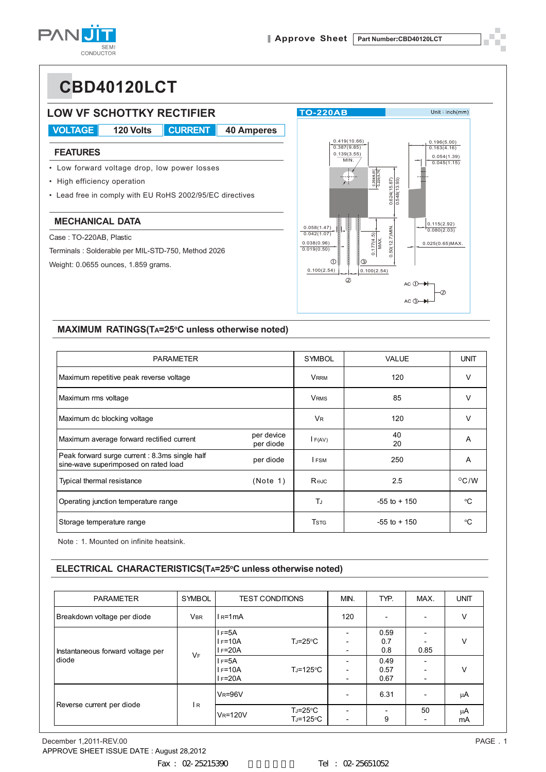**PAN** SEM<br>CONDUCTOR

# **CBD40120LCT**



#### $Unit: inch(mm)$ 0.196(5.00) 0.419(10.66) 0.387(9.85)  $0.163(4.16)$  $0.139(3.55)$ 0.054(1.39) 0.045(1.15)  $0.269(6.85)$ <br> $0.226(5.75)$  $0.624(15.87)$ 0.50(12.7)MIN. 0.624(15.87)  $0.548(13.93)$ 0.548(13.93) 0.115(2.92) 0.080(2.03) 0.50(12.7)MIN.  $0.177(4.5)$ 0.177(4.5) **MAX**  MAX. 0.025(0.65)MAX.  $\circledS$  $0.100(2.54)$  0.100(2.54)  $AC$   $\oplus$ Ô,  $AC$   $\circled{3}$

#### **MAXIMUM RATINGS(TA=25°C unless otherwise noted)**

| <b>PARAMETER</b>                                                                      |                         | <b>SYMBOL</b>        | VALUE           | <b>UNIT</b>    |
|---------------------------------------------------------------------------------------|-------------------------|----------------------|-----------------|----------------|
| Maximum repetitive peak reverse voltage                                               |                         | <b>VRRM</b>          | 120             | $\vee$         |
| Maximum rms voltage                                                                   |                         | <b>VRMS</b>          | 85              | v              |
| Maximum dc blocking voltage                                                           |                         | <b>V<sub>R</sub></b> | 120             | v              |
| Maximum average forward rectified current                                             | per device<br>per diode | F(AV)                | 40<br>20        | A              |
| Peak forward surge current: 8.3ms single half<br>sine-wave superimposed on rated load | per diode               | I FSM                | 250             | A              |
| Typical thermal resistance                                                            | (Note 1)                | R⊛Jc                 | 2.5             | $^{\circ}$ C/W |
| Operating junction temperature range                                                  |                         | T.                   | $-55$ to $+150$ | °C             |
| Storage temperature range                                                             |                         | <b>T</b> stg         | $-55$ to $+150$ | °C             |

Note : 1. Mounted on infinite heatsink.

#### **ELECTRICAL CHARACTERISTICS(TA=25°C unless otherwise noted)**

| <b>PARAMETER</b>                           | SYMBOL     | <b>TEST CONDITIONS</b>             |                                 | MIN.                     | TYP.                          | MAX.                           | <b>UNIT</b>         |
|--------------------------------------------|------------|------------------------------------|---------------------------------|--------------------------|-------------------------------|--------------------------------|---------------------|
| Breakdown voltage per diode                | <b>VBR</b> | $IR=1mA$                           |                                 | 120                      | $\overline{\phantom{a}}$      |                                | v                   |
| Instantaneous forward voltage per<br>diode | <b>VF</b>  | l F=5A<br>$I = 10A$<br>$I = 20A$   | $T_J = 25^{\circ}C$             |                          | 0.59<br>0.7<br>0.8            | 0.85                           | v                   |
|                                            |            | $I = 5A$<br>$I = 10A$<br>$I = 20A$ | $T_J = 125$ °C                  |                          | 0.49<br>0.57<br>0.67          | $\overline{\phantom{a}}$       | v<br>μA<br>μA<br>mA |
|                                            |            | $V_R = 96V$                        |                                 |                          | 6.31                          |                                |                     |
| Reverse current per diode                  | IR         | <b>VR=120V</b>                     | $T_J = 25^{\circ}C$<br>TJ=125°C | $\overline{\phantom{0}}$ | $\overline{\phantom{0}}$<br>9 | 50<br>$\overline{\phantom{a}}$ |                     |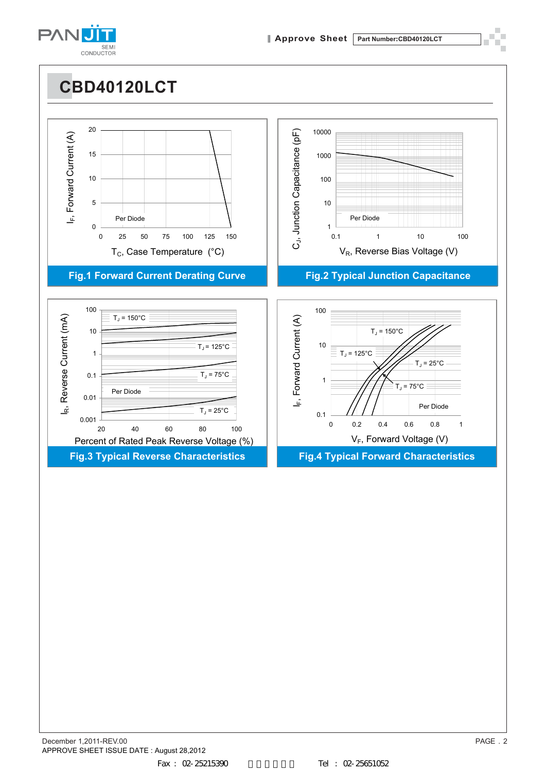

0

5

10

IF, Forward Current (A)

 $\hat{\mathbb{L}}$ 

Forward Current (A)

15

20

**CBD40120LCT** 0 25 50 75 100 125 150  $T_c$ , Case Temperature (°C) **Fig.1 Forward Current Derating Curve Fig.2 Typical Junction Capacitance** 1 10 100 1000 10000 0.1 1 10 100  $V_{\rm R}$ , Reverse Bias Voltage (V) Per Diode<br>
25 50 75 100 125 150<br>  $\overline{Q}$ <br>  $\overline{Q}$ <br>  $\overline{Q}$ <br>  $\overline{Q}$ <br>  $\overline{Q}$ <br>  $\overline{Q}$ <br>  $\overline{Q}$ <br>  $\overline{Q}$ <br>  $\overline{Q}$ <br>  $\overline{Q}$ <br>  $\overline{Q}$ <br>  $\overline{Q}$ <br>  $\overline{Q}$ <br>  $\overline{Q}$ <br>  $\overline{Q}$ <br>  $\overline{Q}$ <br>  $\overline{Q}$ <br>  $\overline{Q}$ <br>  $\overline{Q}$ 



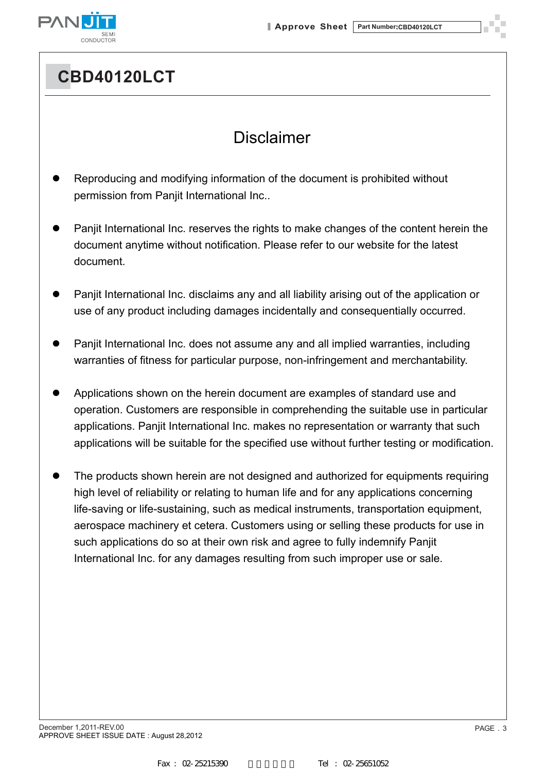

## **CBD40120LCT**

## Disclaimer

- Reproducing and modifying information of the document is prohibited without permission from Panjit International Inc..
- Panjit International Inc. reserves the rights to make changes of the content herein the document anytime without notification. Please refer to our website for the latest document.
- Panjit International Inc. disclaims any and all liability arising out of the application or use of any product including damages incidentally and consequentially occurred.
- Panjit International Inc. does not assume any and all implied warranties, including warranties of fitness for particular purpose, non-infringement and merchantability.
- Applications shown on the herein document are examples of standard use and operation. Customers are responsible in comprehending the suitable use in particular applications. Panjit International Inc. makes no representation or warranty that such applications will be suitable for the specified use without further testing or modification.
- The products shown herein are not designed and authorized for equipments requiring high level of reliability or relating to human life and for any applications concerning life-saving or life-sustaining, such as medical instruments, transportation equipment, aerospace machinery et cetera. Customers using or selling these products for use in such applications do so at their own risk and agree to fully indemnify Panjit International Inc. for any damages resulting from such improper use or sale.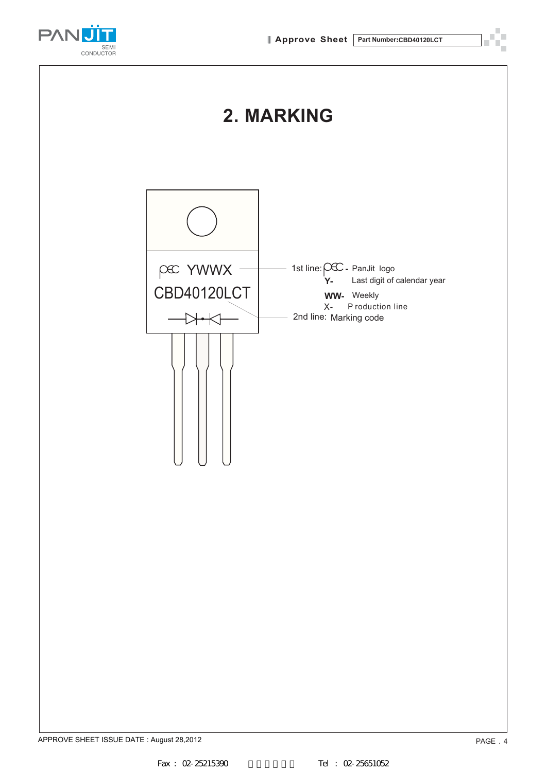

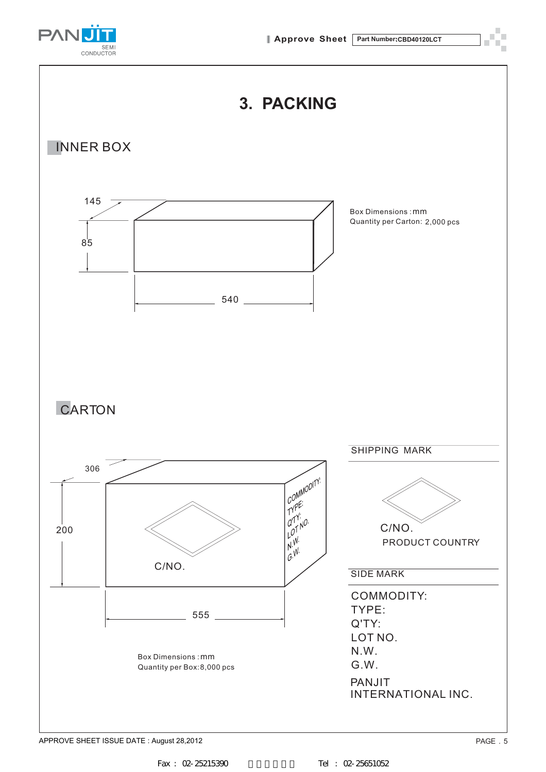



APPROVE SHEET ISSUE DATE : August 28,2012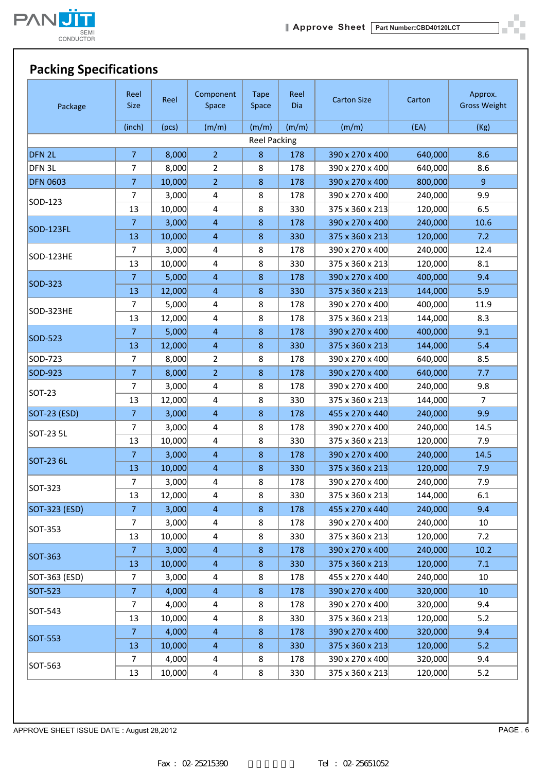

ò,

### **Packing Specifications**

| Package             | Reel<br><b>Size</b> | Reel   | Component<br>Space      | <b>Tape</b><br>Space | Reel<br>Dia | <b>Carton Size</b> | Carton  | Approx.<br><b>Gross Weight</b> |
|---------------------|---------------------|--------|-------------------------|----------------------|-------------|--------------------|---------|--------------------------------|
|                     | (inch)              | (pcs)  | (m/m)                   | (m/m)                | (m/m)       | (m/m)              | (EA)    | (Kg)                           |
|                     |                     |        |                         | <b>Reel Packing</b>  |             |                    |         |                                |
| DFN 2L              | $\overline{7}$      | 8,000  | $\overline{2}$          | $\bf 8$              | 178         | 390 x 270 x 400    | 640,000 | 8.6                            |
| DFN <sub>3L</sub>   | $\overline{7}$      | 8,000  | $\overline{2}$          | 8                    | 178         | 390 x 270 x 400    | 640,000 | 8.6                            |
| <b>DFN 0603</b>     | $\overline{7}$      | 10,000 | $\overline{2}$          | $\bf 8$              | 178         | 390 x 270 x 400    | 800,000 | $\overline{9}$                 |
|                     | 7                   | 3,000  | $\overline{4}$          | 8                    | 178         | 390 x 270 x 400    | 240,000 | 9.9                            |
| SOD-123             | 13                  | 10,000 | $\overline{4}$          | 8                    | 330         | 375 x 360 x 213    | 120,000 | 6.5                            |
|                     | $\overline{7}$      | 3,000  | $\overline{4}$          | $\,8\,$              | 178         | 390 x 270 x 400    | 240,000 | 10.6                           |
| SOD-123FL           | 13                  | 10,000 | $\overline{4}$          | 8                    | 330         | 375 x 360 x 213    | 120,000 | 7.2                            |
|                     | 7                   | 3,000  | $\overline{\mathbf{4}}$ | 8                    | 178         | 390 x 270 x 400    | 240,000 | 12.4                           |
| <b>SOD-123HE</b>    | 13                  | 10,000 | $\overline{\mathbf{4}}$ | 8                    | 330         | 375 x 360 x 213    | 120,000 | 8.1                            |
|                     | $\overline{7}$      | 5,000  | $\overline{4}$          | $\bf 8$              | 178         | 390 x 270 x 400    | 400,000 | 9.4                            |
| SOD-323             | 13                  | 12,000 | $\overline{4}$          | $\bf 8$              | 330         | 375 x 360 x 213    | 144,000 | 5.9                            |
|                     | 7                   | 5,000  | 4                       | 8                    | 178         | 390 x 270 x 400    | 400,000 | 11.9                           |
| SOD-323HE           | 13                  | 12,000 | $\overline{4}$          | 8                    | 178         | 375 x 360 x 213    | 144,000 | 8.3                            |
|                     | $\overline{7}$      | 5,000  | $\overline{4}$          | $\,8\,$              | 178         | 390 x 270 x 400    | 400,000 | 9.1                            |
| SOD-523             | 13                  | 12,000 | $\overline{4}$          | $\,8\,$              | 330         | 375 x 360 x 213    | 144,000 | 5.4                            |
| SOD-723             | 7                   | 8,000  | $\overline{2}$          | 8                    | 178         | 390 x 270 x 400    | 640,000 | 8.5                            |
| SOD-923             | $\overline{7}$      | 8,000  | $\overline{2}$          | $\,8\,$              | 178         | 390 x 270 x 400    | 640,000 | 7.7                            |
|                     | 7                   | 3,000  | $\overline{\mathbf{4}}$ | 8                    | 178         | 390 x 270 x 400    | 240,000 | 9.8                            |
| SOT-23              | 13                  | 12,000 | $\overline{4}$          | 8                    | 330         | 375 x 360 x 213    | 144,000 | $\overline{7}$                 |
| <b>SOT-23 (ESD)</b> | $\overline{7}$      | 3,000  | $\overline{4}$          | $8\phantom{1}$       | 178         | 455 x 270 x 440    | 240,000 | 9.9                            |
|                     | $\overline{7}$      | 3,000  | $\overline{4}$          | 8                    | 178         | 390 x 270 x 400    | 240,000 | 14.5                           |
| SOT-23 5L           | 13                  | 10,000 | $\overline{\mathbf{4}}$ | 8                    | 330         | 375 x 360 x 213    | 120,000 | 7.9                            |
|                     | $\overline{7}$      | 3,000  | $\overline{4}$          | 8                    | 178         | 390 x 270 x 400    | 240,000 | 14.5                           |
| <b>SOT-23 6L</b>    | 13                  | 10,000 | $\overline{4}$          | $\bf 8$              | 330         | 375 x 360 x 213    | 120,000 | 7.9                            |
|                     | $\overline{7}$      | 3,000  | $\overline{4}$          | 8                    | 178         | 390 x 270 x 400    | 240,000 | 7.9                            |
| SOT-323             | 13                  | 12,000 | 4                       | 8                    | 330         | 375 x 360 x 213    | 144,000 | 6.1                            |
| SOT-323 (ESD)       | $\overline{7}$      | 3,000  | $\overline{4}$          | $\bf 8$              | 178         | 455 x 270 x 440    | 240,000 | 9.4                            |
|                     | 7                   | 3,000  | $\overline{\mathbf{4}}$ | 8                    | 178         | 390 x 270 x 400    | 240,000 | 10                             |
| SOT-353             | 13                  | 10,000 | $\overline{4}$          | 8                    | 330         | 375 x 360 x 213    | 120,000 | 7.2                            |
|                     | 7                   | 3,000  | $\overline{4}$          | $\bf 8$              | 178         | 390 x 270 x 400    | 240,000 | 10.2                           |
| <b>SOT-363</b>      | 13                  | 10,000 | $\overline{4}$          | 8                    | 330         | 375 x 360 x 213    | 120,000 | 7.1                            |
| SOT-363 (ESD)       | $\overline{7}$      | 3,000  | $\overline{\mathbf{4}}$ | 8                    | 178         | 455 x 270 x 440    | 240,000 | 10                             |
| <b>SOT-523</b>      | $\overline{7}$      | 4,000  | $\overline{4}$          | $\bf 8$              | 178         | 390 x 270 x 400    | 320,000 | 10                             |
|                     | 7                   | 4,000  | 4                       | 8                    | 178         | 390 x 270 x 400    | 320,000 | 9.4                            |
| SOT-543             | 13                  | 10,000 | 4                       | 8                    | 330         | 375 x 360 x 213    | 120,000 | 5.2                            |
|                     | 7                   | 4,000  | $\overline{4}$          | $\bf 8$              | 178         | 390 x 270 x 400    | 320,000 | 9.4                            |
| SOT-553             | 13                  | 10,000 | 4                       | $\bf 8$              | 330         | 375 x 360 x 213    | 120,000 | 5.2                            |
|                     | $\overline{7}$      | 4,000  | 4                       | 8                    | 178         | 390 x 270 x 400    | 320,000 | 9.4                            |
| SOT-563             | 13                  | 10,000 | 4                       | 8                    | 330         | 375 x 360 x 213    | 120,000 | 5.2                            |

APPROVE SHEET ISSUE DATE : August 28,2012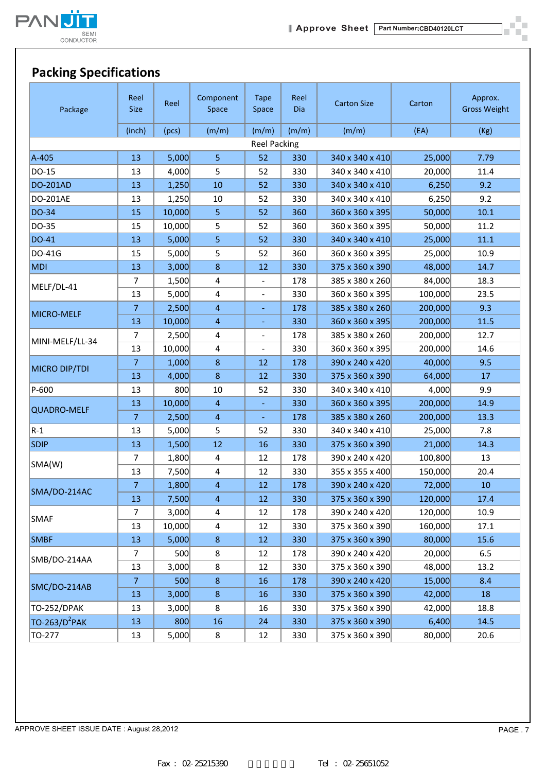

#### **Packing Specifications**

| Package                   | Reel<br><b>Size</b> | Reel   | Component<br>Space | <b>Tape</b><br>Space     | Reel<br><b>Dia</b> | <b>Carton Size</b> | Carton  | Approx.<br><b>Gross Weight</b> |
|---------------------------|---------------------|--------|--------------------|--------------------------|--------------------|--------------------|---------|--------------------------------|
|                           | (inch)              | (pcs)  | (m/m)              | (m/m)                    | (m/m)              | (m/m)              | (EA)    | (Kg)                           |
|                           | <b>Reel Packing</b> |        |                    |                          |                    |                    |         |                                |
| A-405                     | 13                  | 5,000  | 5                  | 52                       | 330                | 340 x 340 x 410    | 25,000  | 7.79                           |
| DO-15                     | 13                  | 4,000  | 5                  | 52                       | 330                | 340 x 340 x 410    | 20,000  | 11.4                           |
| <b>DO-201AD</b>           | 13                  | 1,250  | 10                 | 52                       | 330                | 340 x 340 x 410    | 6,250   | 9.2                            |
| DO-201AE                  | 13                  | 1,250  | 10                 | 52                       | 330                | 340 x 340 x 410    | 6,250   | 9.2                            |
| DO-34                     | 15                  | 10,000 | 5                  | 52                       | 360                | 360 x 360 x 395    | 50,000  | 10.1                           |
| DO-35                     | 15                  | 10,000 | 5                  | 52                       | 360                | 360 x 360 x 395    | 50,000  | 11.2                           |
| DO-41                     | 13                  | 5,000  | 5                  | 52                       | 330                | 340 x 340 x 410    | 25,000  | $11.1\,$                       |
| DO-41G                    | 15                  | 5,000  | 5                  | 52                       | 360                | 360 x 360 x 395    | 25,000  | 10.9                           |
| <b>MDI</b>                | 13                  | 3,000  | $\bf 8$            | 12                       | 330                | 375 x 360 x 390    | 48,000  | 14.7                           |
|                           | $\overline{7}$      | 1,500  | 4                  |                          | 178                | 385 x 380 x 260    | 84,000  | 18.3                           |
| MELF/DL-41                | 13                  | 5,000  | 4                  | $\overline{\phantom{a}}$ | 330                | 360 x 360 x 395    | 100,000 | 23.5                           |
|                           | $\overline{7}$      | 2,500  | $\overline{4}$     |                          | 178                | 385 x 380 x 260    | 200,000 | 9.3                            |
| MICRO-MELF                | 13                  | 10,000 | $\overline{4}$     | Ξ                        | 330                | 360 x 360 x 395    | 200,000 | 11.5                           |
| MINI-MELF/LL-34           | 7                   | 2,500  | 4                  |                          | 178                | 385 x 380 x 260    | 200,000 | 12.7                           |
|                           | 13                  | 10,000 | 4                  | $\overline{\phantom{a}}$ | 330                | 360 x 360 x 395    | 200,000 | 14.6                           |
|                           | $\overline{7}$      | 1,000  | $\bf 8$            | 12                       | 178                | 390 x 240 x 420    | 40,000  | 9.5                            |
| MICRO DIP/TDI             | 13                  | 4,000  | $\bf 8$            | 12                       | 330                | 375 x 360 x 390    | 64,000  | 17                             |
| P-600                     | 13                  | 800    | $10\,$             | 52                       | 330                | 340 x 340 x 410    | 4,000   | 9.9                            |
| <b>QUADRO-MELF</b>        | 13                  | 10,000 | $\overline{4}$     | ÷                        | 330                | 360 x 360 x 395    | 200,000 | 14.9                           |
|                           | $\overline{7}$      | 2,500  | $\overline{4}$     | ÷                        | 178                | 385 x 380 x 260    | 200,000 | 13.3                           |
| $R-1$                     | 13                  | 5,000  | 5.                 | 52                       | 330                | 340 x 340 x 410    | 25,000  | 7.8                            |
| <b>SDIP</b>               | 13                  | 1,500  | 12                 | 16                       | 330                | 375 x 360 x 390    | 21,000  | 14.3                           |
|                           | 7                   | 1,800  | 4                  | 12                       | 178                | 390 x 240 x 420    | 100,800 | 13                             |
| SMA(W)                    | 13                  | 7,500  | 4                  | 12                       | 330                | 355 x 355 x 400    | 150,000 | 20.4                           |
|                           | $\overline{7}$      | 1,800  | $\overline{4}$     | 12                       | 178                | 390 x 240 x 420    | 72,000  | 10                             |
| SMA/DO-214AC              | 13                  | 7,500  | 4                  | 12                       | 330                | 375 x 360 x 390    | 120,000 | 17.4                           |
|                           | 7                   | 3,000  | 4                  | 12                       | 178                | 390 x 240 x 420    | 120,000 | 10.9                           |
| <b>SMAF</b>               | 13                  | 10,000 | 4                  | 12                       | 330                | 375 x 360 x 390    | 160,000 | 17.1                           |
| <b>SMBF</b>               | 13                  | 5,000  | 8                  | 12                       | 330                | 375 x 360 x 390    | 80,000  | 15.6                           |
| SMB/DO-214AA              | $\overline{7}$      | 500    | 8                  | 12                       | 178                | 390 x 240 x 420    | 20,000  | 6.5                            |
|                           | 13                  | 3,000  | 8                  | 12                       | 330                | 375 x 360 x 390    | 48,000  | 13.2                           |
| SMC/DO-214AB              | $\overline{7}$      | 500    | 8                  | 16                       | 178                | 390 x 240 x 420    | 15,000  | 8.4                            |
|                           | 13                  | 3,000  | $\bf 8$            | 16                       | 330                | 375 x 360 x 390    | 42,000  | 18                             |
| TO-252/DPAK               | 13                  | 3,000  | 8                  | 16                       | 330                | 375 x 360 x 390    | 42,000  | 18.8                           |
| TO-263/D <sup>2</sup> PAK | 13                  | 800    | 16                 | 24                       | 330                | 375 x 360 x 390    | 6,400   | 14.5                           |
| TO-277                    | 13                  | 5,000  | 8                  | 12                       | 330                | 375 x 360 x 390    | 80,000  | 20.6                           |

APPROVE SHEET ISSUE DATE : August 28,2012

Î.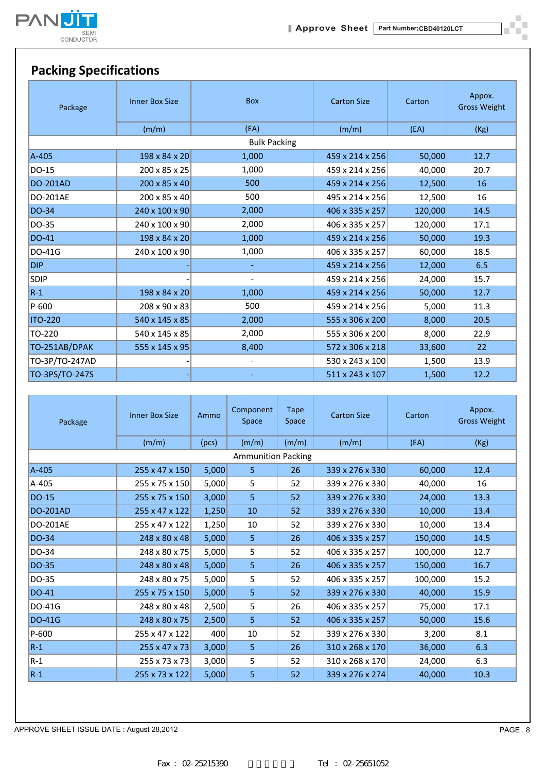

 $\blacksquare$ шí

### **Packing Specifications**

| Package         | <b>Inner Box Size</b> | <b>Box</b>     | <b>Carton Size</b> | Carton  | Appox.<br><b>Gross Weight</b> |  |  |  |  |  |
|-----------------|-----------------------|----------------|--------------------|---------|-------------------------------|--|--|--|--|--|
|                 | (m/m)                 | (EA)           | (m/m)              | (EA)    | (Kg)                          |  |  |  |  |  |
|                 | <b>Bulk Packing</b>   |                |                    |         |                               |  |  |  |  |  |
| $A-405$         | 198 x 84 x 20         | 1,000          | 459 x 214 x 256    | 50,000  | 12.7                          |  |  |  |  |  |
| DO-15           | 200 x 85 x 25         | 1,000          | 459 x 214 x 256    | 40,000  | 20.7                          |  |  |  |  |  |
| <b>DO-201AD</b> | 200 x 85 x 40         | 500            | 459 x 214 x 256    | 12,500  | 16                            |  |  |  |  |  |
| DO-201AE        | 200 x 85 x 40         | 500            | 495 x 214 x 256    | 12,500  | 16                            |  |  |  |  |  |
| <b>DO-34</b>    | 240 x 100 x 90        | 2,000          | 406 x 335 x 257    | 120,000 | 14.5                          |  |  |  |  |  |
| DO-35           | 240 x 100 x 90        | 2,000          | 406 x 335 x 257    | 120,000 | 17.1                          |  |  |  |  |  |
| <b>DO-41</b>    | 198 x 84 x 20         | 1,000          | 459 x 214 x 256    | 50,000  | 19.3                          |  |  |  |  |  |
| <b>DO-41G</b>   | 240 x 100 x 90        | 1,000          | 406 x 335 x 257    | 60,000  | 18.5                          |  |  |  |  |  |
| <b>DIP</b>      |                       | $\equiv$       | 459 x 214 x 256    | 12,000  | 6.5                           |  |  |  |  |  |
| <b>SDIP</b>     |                       | $\blacksquare$ | 459 x 214 x 256    | 24,000  | 15.7                          |  |  |  |  |  |
| $R-1$           | 198 x 84 x 20         | 1,000          | 459 x 214 x 256    | 50,000  | 12.7                          |  |  |  |  |  |
| P-600           | 208 x 90 x 83         | 500            | 459 x 214 x 256    | 5,000   | 11.3                          |  |  |  |  |  |
| <b>ITO-220</b>  | 540 x 145 x 85        | 2,000          | 555 x 306 x 200    | 8,000   | 20.5                          |  |  |  |  |  |
| TO-220          | 540 x 145 x 85        | 2,000          | 555 x 306 x 200    | 8,000   | 22.9                          |  |  |  |  |  |
| TO-251AB/DPAK   | 555 x 145 x 95        | 8,400          | 572 x 306 x 218    | 33,600  | 22                            |  |  |  |  |  |
| TO-3P/TO-247AD  |                       |                | 530 x 243 x 100    | 1,500   | 13.9                          |  |  |  |  |  |
| TO-3PS/TO-247S  |                       |                | 511 x 243 x 107    | 1,500   | 12.2                          |  |  |  |  |  |

| Package         | <b>Inner Box Size</b>     | Ammo  | Component<br><b>Space</b> | Tape<br>Space | <b>Carton Size</b> | Carton  | Appox.<br><b>Gross Weight</b> |
|-----------------|---------------------------|-------|---------------------------|---------------|--------------------|---------|-------------------------------|
|                 | (m/m)                     | (pcs) | (m/m)                     | (m/m)         | (m/m)              | (EA)    | (Kg)                          |
|                 |                           |       | <b>Ammunition Packing</b> |               |                    |         |                               |
| A-405           | 255 x 47 x 150            | 5,000 | 5                         | 26            | 339 x 276 x 330    | 60,000  | 12.4                          |
| A-405           | 255 x 75 x 150            | 5,000 | 5                         | 52            | 339 x 276 x 330    | 40,000  | 16                            |
| <b>DO-15</b>    | 255 x 75 x 150            | 3,000 | 5                         | 52            | 339 x 276 x 330    | 24,000  | 13.3                          |
| <b>DO-201AD</b> | 255 x 47 x 122            | 1,250 | 10                        | 52            | 339 x 276 x 330    | 10,000  | 13.4                          |
| <b>DO-201AE</b> | 255 x 47 x 122            | 1,250 | 10                        | 52            | 339 x 276 x 330    | 10,000  | 13.4                          |
| DO-34           | 248 x 80 x 48             | 5,000 | 5                         | 26            | 406 x 335 x 257    | 150,000 | 14.5                          |
| DO-34           | 248 x 80 x 75             | 5,000 | 5                         | 52            | 406 x 335 x 257    | 100,000 | 12.7                          |
| DO-35           | $248 \times 80 \times 48$ | 5,000 | 5                         | 26            | 406 x 335 x 257    | 150,000 | 16.7                          |
| DO-35           | 248 x 80 x 75             | 5,000 | 5                         | 52            | 406 x 335 x 257    | 100,000 | 15.2                          |
| DO-41           | 255 x 75 x 150            | 5,000 | 5.                        | 52            | 339 x 276 x 330    | 40,000  | 15.9                          |
| <b>DO-41G</b>   | 248 x 80 x 48             | 2,500 | 5                         | 26            | 406 x 335 x 257    | 75,000  | 17.1                          |
| <b>DO-41G</b>   | 248 x 80 x 75             | 2,500 | 5.                        | 52            | 406 x 335 x 257    | 50,000  | 15.6                          |
| $P-600$         | 255 x 47 x 122            | 400   | 10                        | 52            | 339 x 276 x 330    | 3,200   | 8.1                           |
| $R-1$           | $255 \times 47 \times 73$ | 3,000 | 5.                        | 26            | 310 x 268 x 170    | 36,000  | 6.3                           |
| $ R-1 $         | 255 x 73 x 73             | 3,000 | 5                         | 52            | 310 x 268 x 170    | 24,000  | 6.3                           |
| $R-1$           | 255 x 73 x 122            | 5,000 | 5                         | 52            | 339 x 276 x 274    | 40,000  | 10.3                          |

APPROVE SHEET ISSUE DATE : August 28,2012